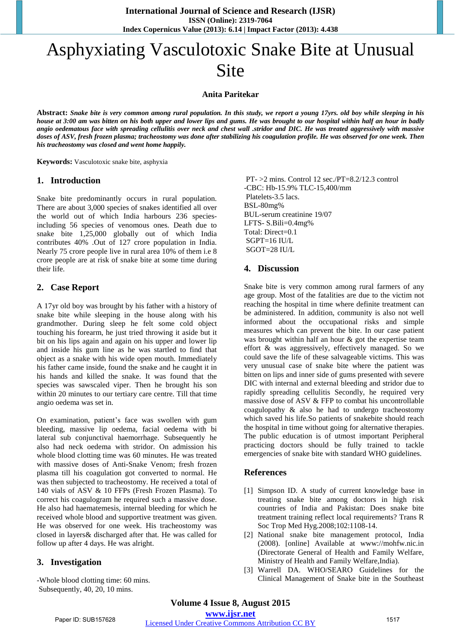# Asphyxiating Vasculotoxic Snake Bite at Unusual **Site**

#### **Anita Paritekar**

**Abstract:** *Snake bite is very common among rural population. In this study, we report a young 17yrs. old boy while sleeping in his house at 3:00 am was bitten on his both upper and lower lips and gums. He was brought to our hospital within half an hour in badly angio oedematous face with spreading cellulitis over neck and chest wall .stridor and DIC. He was treated aggressively with massive doses of ASV, fresh frozen plasma; tracheostomy was done after stabilizing his coagulation profile. He was observed for one week. Then his tracheostomy was closed and went home happily.* 

**Keywords:** Vasculotoxic snake bite, asphyxia

#### **1. Introduction**

Snake bite predominantly occurs in rural population. There are about 3,000 species of snakes identified all over the world out of which India harbours 236 speciesincluding 56 species of venomous ones. Death due to snake bite 1,25,000 globally out of which India contributes 40% .Out of 127 crore population in India. Nearly 75 crore people live in rural area 10% of them i.e 8 crore people are at risk of snake bite at some time during their life.

## **2. Case Report**

A 17yr old boy was brought by his father with a history of snake bite while sleeping in the house along with his grandmother. During sleep he felt some cold object touching his forearm, he just tried throwing it aside but it bit on his lips again and again on his upper and lower lip and inside his gum line as he was startled to find that object as a snake with his wide open mouth. Immediately his father came inside, found the snake and he caught it in his hands and killed the snake. It was found that the species was sawscaled viper. Then he brought his son within 20 minutes to our tertiary care centre. Till that time angio oedema was set in.

On examination, patient's face was swollen with gum bleeding, massive lip oedema, facial oedema with bi lateral sub conjunctival haemorrhage. Subsequently he also had neck oedema with stridor. On admission his whole blood clotting time was 60 minutes. He was treated with massive doses of Anti-Snake Venom; fresh frozen plasma till his coagulation got converted to normal. He was then subjected to tracheostomy. He received a total of 140 vials of ASV & 10 FFPs (Fresh Frozen Plasma). To correct his coagulogram he required such a massive dose. He also had haematemesis, internal bleeding for which he received whole blood and supportive treatment was given. He was observed for one week. His tracheostomy was closed in layers& discharged after that. He was called for follow up after 4 days. He was alright.

## **3. Investigation**

-Whole blood clotting time: 60 mins. Subsequently, 40, 20, 10 mins.

PT- >2 mins. Control 12 sec./PT=8.2/12.3 control -CBC: Hb-15.9% TLC-15,400/mm Platelets-3.5 lacs. BSL-80mg% BUL-serum creatinine 19/07 LFTS- S.Bili=0.4mg% Total: Direct=0.1  $SGPT=16$  IU/L SGOT=28 IU/L

#### **4. Discussion**

Snake bite is very common among rural farmers of any age group. Most of the fatalities are due to the victim not reaching the hospital in time where definite treatment can be administered. In addition, community is also not well informed about the occupational risks and simple measures which can prevent the bite. In our case patient was brought within half an hour & got the expertise team effort & was aggressively, effectively managed. So we could save the life of these salvageable victims. This was very unusual case of snake bite where the patient was bitten on lips and inner side of gums presented with severe DIC with internal and external bleeding and stridor due to rapidly spreading cellulitis Secondly, he required very massive dose of ASV & FFP to combat his uncontrollable coagulopathy & also he had to undergo tracheostomy which saved his life.So patients of snakebite should reach the hospital in time without going for alternative therapies. The public education is of utmost important Peripheral practicing doctors should be fully trained to tackle emergencies of snake bite with standard WHO guidelines.

#### **References**

- [1] Simpson ID. A study of current knowledge base in treating snake bite among doctors in high risk countries of India and Pakistan: Does snake bite treatment training reflect local requirements? Trans R Soc Trop Med Hyg.2008;102:1108-14.
- [2] National snake bite management protocol, India (2008). [online] Available at www://mohfw.nic.in (Directorate General of Health and Family Welfare, Ministry of Health and Family Welfare,India).
- [3] Warrell DA. WHO/SEARO Guidelines for the Clinical Management of Snake bite in the Southeast